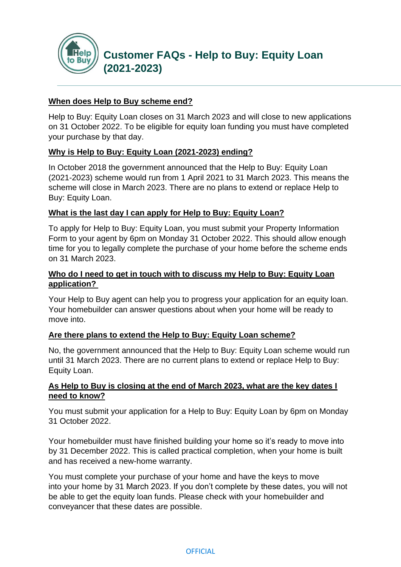

#### **When does Help to Buy scheme end?**

Help to Buy: Equity Loan closes on 31 March 2023 and will close to new applications on 31 October 2022. To be eligible for equity loan funding you must have completed your purchase by that day.

#### **Why is Help to Buy: Equity Loan (2021-2023) ending?**

In October 2018 the government announced that the Help to Buy: Equity Loan (2021-2023) scheme would run from 1 April 2021 to 31 March 2023. This means the scheme will close in March 2023. There are no plans to extend or replace Help to Buy: Equity Loan.

#### **What is the last day I can apply for Help to Buy: Equity Loan?**

To apply for Help to Buy: Equity Loan, you must submit your Property Information Form to your agent by 6pm on Monday 31 October 2022. This should allow enough time for you to legally complete the purchase of your home before the scheme ends on 31 March 2023.

### **Who do I need to get in touch with to discuss my Help to Buy: Equity Loan application?**

Your Help to Buy agent can help you to progress your application for an equity loan. Your homebuilder can answer questions about when your home will be ready to move into.

#### **Are there plans to extend the Help to Buy: Equity Loan scheme?**

No, the government announced that the Help to Buy: Equity Loan scheme would run until 31 March 2023. There are no current plans to extend or replace Help to Buy: Equity Loan.

#### **As Help to Buy is closing at the end of March 2023, what are the key dates I need to know?**

You must submit your application for a Help to Buy: Equity Loan by 6pm on Monday 31 October 2022.

Your homebuilder must have finished building your home so it's ready to move into by 31 December 2022. This is called practical completion, when your home is built and has received a new-home warranty.

You must complete your purchase of your home and have the keys to move into your home by 31 March 2023. If you don't complete by these dates, you will not be able to get the equity loan funds. Please check with your homebuilder and conveyancer that these dates are possible.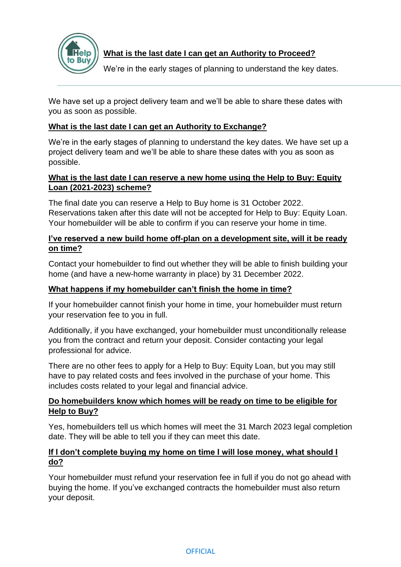

# **What is the last date I can get an Authority to Proceed?**

We're in the early stages of planning to understand the key dates.

We have set up a project delivery team and we'll be able to share these dates with you as soon as possible.

# **What is the last date I can get an Authority to Exchange?**

We're in the early stages of planning to understand the key dates. We have set up a project delivery team and we'll be able to share these dates with you as soon as possible.

## **What is the last date I can reserve a new home using the Help to Buy: Equity Loan (2021-2023) scheme?**

The final date you can reserve a Help to Buy home is 31 October 2022. Reservations taken after this date will not be accepted for Help to Buy: Equity Loan. Your homebuilder will be able to confirm if you can reserve your home in time.

# **I've reserved a new build home off-plan on a development site, will it be ready on time?**

Contact your homebuilder to find out whether they will be able to finish building your home (and have a new-home warranty in place) by 31 December 2022.

# **What happens if my homebuilder can't finish the home in time?**

If your homebuilder cannot finish your home in time, your homebuilder must return your reservation fee to you in full.

Additionally, if you have exchanged, your homebuilder must unconditionally release you from the contract and return your deposit. Consider contacting your legal professional for advice.

There are no other fees to apply for a Help to Buy: Equity Loan, but you may still have to pay related costs and fees involved in the purchase of your home. This includes costs related to your legal and financial advice.

# **Do homebuilders know which homes will be ready on time to be eligible for Help to Buy?**

Yes, homebuilders tell us which homes will meet the 31 March 2023 legal completion date. They will be able to tell you if they can meet this date.

### **If I don't complete buying my home on time I will lose money, what should I do?**

Your homebuilder must refund your reservation fee in full if you do not go ahead with buying the home. If you've exchanged contracts the homebuilder must also return your deposit.